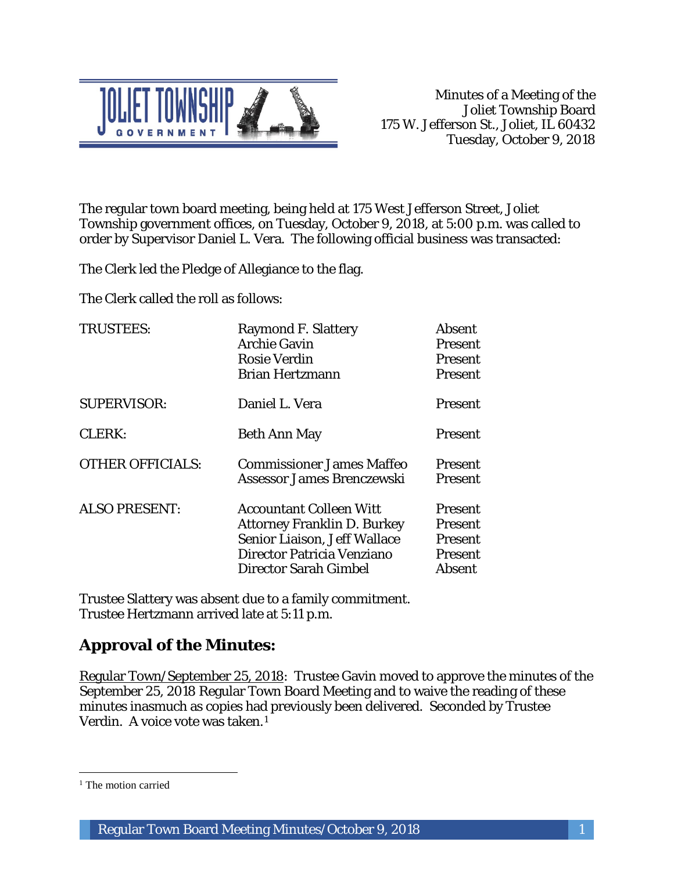

The regular town board meeting, being held at 175 West Jefferson Street, Joliet Township government offices, on Tuesday, October 9, 2018, at 5:00 p.m. was called to order by Supervisor Daniel L. Vera. The following official business was transacted:

The Clerk led the Pledge of Allegiance to the flag.

The Clerk called the roll as follows:

| <b>TRUSTEES:</b>        | <b>Raymond F. Slattery</b><br><b>Archie Gavin</b><br><b>Rosie Verdin</b><br><b>Brian Hertzmann</b>                                                          | <b>Absent</b><br><b>Present</b><br><b>Present</b><br>Present            |
|-------------------------|-------------------------------------------------------------------------------------------------------------------------------------------------------------|-------------------------------------------------------------------------|
| <b>SUPERVISOR:</b>      | Daniel L. Vera                                                                                                                                              | <b>Present</b>                                                          |
| <b>CLERK:</b>           | <b>Beth Ann May</b>                                                                                                                                         | Present                                                                 |
| <b>OTHER OFFICIALS:</b> | <b>Commissioner James Maffeo</b><br>Assessor James Brenczewski                                                                                              | <b>Present</b><br><b>Present</b>                                        |
| <b>ALSO PRESENT:</b>    | <b>Accountant Colleen Witt</b><br><b>Attorney Franklin D. Burkey</b><br>Senior Liaison, Jeff Wallace<br>Director Patricia Venziano<br>Director Sarah Gimbel | Present<br><b>Present</b><br><b>Present</b><br><b>Present</b><br>Absent |

Trustee Slattery was absent due to a family commitment. Trustee Hertzmann arrived late at 5:11 p.m.

# **Approval of the Minutes:**

Regular Town/September 25, 2018: Trustee Gavin moved to approve the minutes of the September 25, 2018 Regular Town Board Meeting and to waive the reading of these minutes inasmuch as copies had previously been delivered. Seconded by Trustee Verdin. A voice vote was taken.<sup>1</sup>

 $\overline{a}$ 

<sup>&</sup>lt;sup>1</sup> The motion carried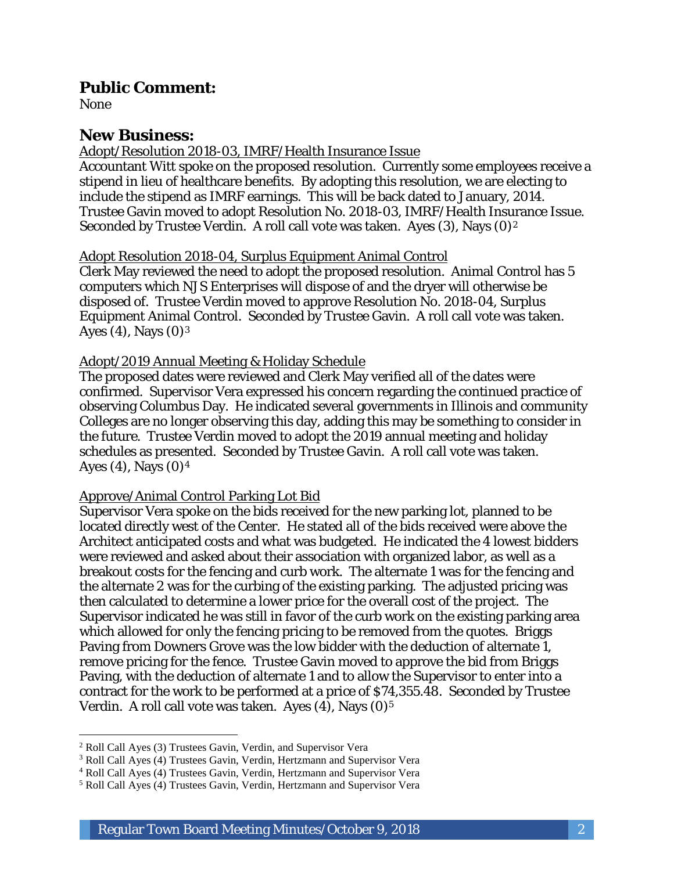### **Public Comment:**

None

# **New Business:**

#### Adopt/Resolution 2018-03, IMRF/Health Insurance Issue

Accountant Witt spoke on the proposed resolution. Currently some employees receive a stipend in lieu of healthcare benefits. By adopting this resolution, we are electing to include the stipend as IMRF earnings. This will be back dated to January, 2014. Trustee Gavin moved to adopt Resolution No. 2018-03, IMRF/Health Insurance Issue. Seconded by Trustee Verdin. A roll call vote was taken. Ayes (3), Nays (0)<sup>2</sup>

### Adopt Resolution 2018-04, Surplus Equipment Animal Control

Clerk May reviewed the need to adopt the proposed resolution. Animal Control has 5 computers which NJS Enterprises will dispose of and the dryer will otherwise be disposed of. Trustee Verdin moved to approve Resolution No. 2018-04, Surplus Equipment Animal Control. Seconded by Trustee Gavin. A roll call vote was taken. Ayes (4), Nays  $(0)^3$ 

#### Adopt/2019 Annual Meeting & Holiday Schedule

The proposed dates were reviewed and Clerk May verified all of the dates were confirmed. Supervisor Vera expressed his concern regarding the continued practice of observing Columbus Day. He indicated several governments in Illinois and community Colleges are no longer observing this day, adding this may be something to consider in the future. Trustee Verdin moved to adopt the 2019 annual meeting and holiday schedules as presented. Seconded by Trustee Gavin. A roll call vote was taken. Ayes  $(4)$ , Nays  $(0)^4$ 

#### Approve/Animal Control Parking Lot Bid

Supervisor Vera spoke on the bids received for the new parking lot, planned to be located directly west of the Center. He stated all of the bids received were above the Architect anticipated costs and what was budgeted. He indicated the 4 lowest bidders were reviewed and asked about their association with organized labor, as well as a breakout costs for the fencing and curb work. The alternate 1 was for the fencing and the alternate 2 was for the curbing of the existing parking. The adjusted pricing was then calculated to determine a lower price for the overall cost of the project. The Supervisor indicated he was still in favor of the curb work on the existing parking area which allowed for only the fencing pricing to be removed from the quotes. Briggs Paving from Downers Grove was the low bidder with the deduction of alternate 1, remove pricing for the fence. Trustee Gavin moved to approve the bid from Briggs Paving, with the deduction of alternate 1 and to allow the Supervisor to enter into a contract for the work to be performed at a price of \$74,355.48. Seconded by Trustee Verdin. A roll call vote was taken. Ayes  $(4)$ , Nays  $(0)<sup>5</sup>$ 

 $\overline{a}$ <sup>2</sup> Roll Call Ayes (3) Trustees Gavin, Verdin, and Supervisor Vera

<sup>3</sup> Roll Call Ayes (4) Trustees Gavin, Verdin, Hertzmann and Supervisor Vera

<sup>4</sup> Roll Call Ayes (4) Trustees Gavin, Verdin, Hertzmann and Supervisor Vera

<sup>5</sup> Roll Call Ayes (4) Trustees Gavin, Verdin, Hertzmann and Supervisor Vera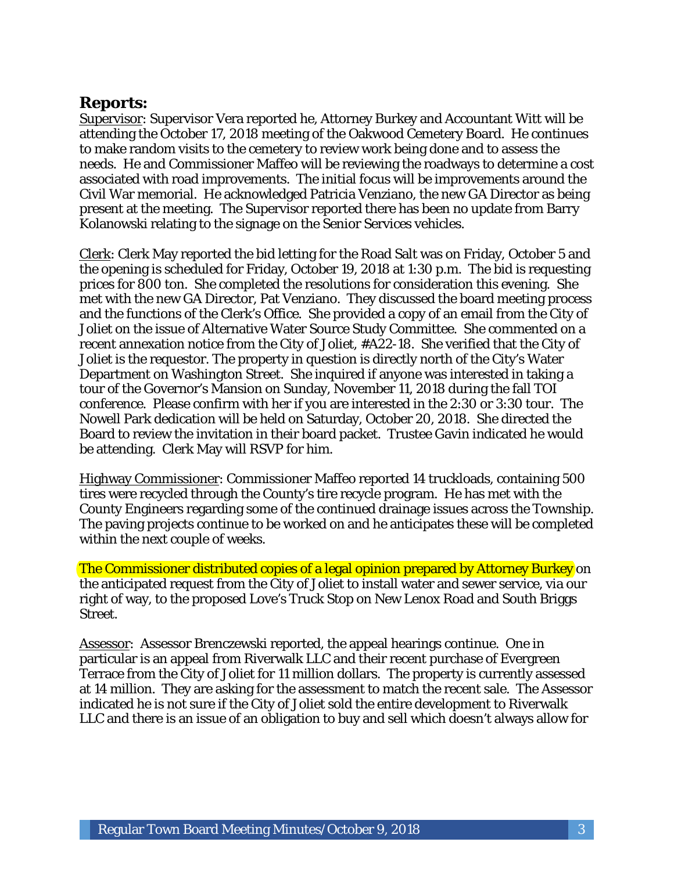## **Reports:**

Supervisor: Supervisor Vera reported he, Attorney Burkey and Accountant Witt will be attending the October 17, 2018 meeting of the Oakwood Cemetery Board. He continues to make random visits to the cemetery to review work being done and to assess the needs. He and Commissioner Maffeo will be reviewing the roadways to determine a cost associated with road improvements. The initial focus will be improvements around the Civil War memorial. He acknowledged Patricia Venziano, the new GA Director as being present at the meeting. The Supervisor reported there has been no update from Barry Kolanowski relating to the signage on the Senior Services vehicles.

Clerk: Clerk May reported the bid letting for the Road Salt was on Friday, October 5 and the opening is scheduled for Friday, October 19, 2018 at 1:30 p.m. The bid is requesting prices for 800 ton. She completed the resolutions for consideration this evening. She met with the new GA Director, Pat Venziano. They discussed the board meeting process and the functions of the Clerk's Office. She provided a copy of an email from the City of Joliet on the issue of Alternative Water Source Study Committee. She commented on a recent annexation notice from the City of Joliet, #A22-18. She verified that the City of Joliet is the requestor. The property in question is directly north of the City's Water Department on Washington Street. She inquired if anyone was interested in taking a tour of the Governor's Mansion on Sunday, November 11, 2018 during the fall TOI conference. Please confirm with her if you are interested in the 2:30 or 3:30 tour. The Nowell Park dedication will be held on Saturday, October 20, 2018. She directed the Board to review the invitation in their board packet. Trustee Gavin indicated he would be attending. Clerk May will RSVP for him.

Highway Commissioner: Commissioner Maffeo reported 14 truckloads, containing 500 tires were recycled through the County's tire recycle program. He has met with the County Engineers regarding some of the continued drainage issues across the Township. The paving projects continue to be worked on and he anticipates these will be completed within the next couple of weeks.

The Commissioner distributed copies of a legal opinion prepared by Attorney Burkey on the anticipated request from the City of Joliet to install water and sewer service, via our right of way, to the proposed Love's Truck Stop on New Lenox Road and South Briggs Street.

Assessor: Assessor Brenczewski reported, the appeal hearings continue. One in particular is an appeal from Riverwalk LLC and their recent purchase of Evergreen Terrace from the City of Joliet for 11 million dollars. The property is currently assessed at 14 million. They are asking for the assessment to match the recent sale. The Assessor indicated he is not sure if the City of Joliet sold the entire development to Riverwalk LLC and there is an issue of an obligation to buy and sell which doesn't always allow for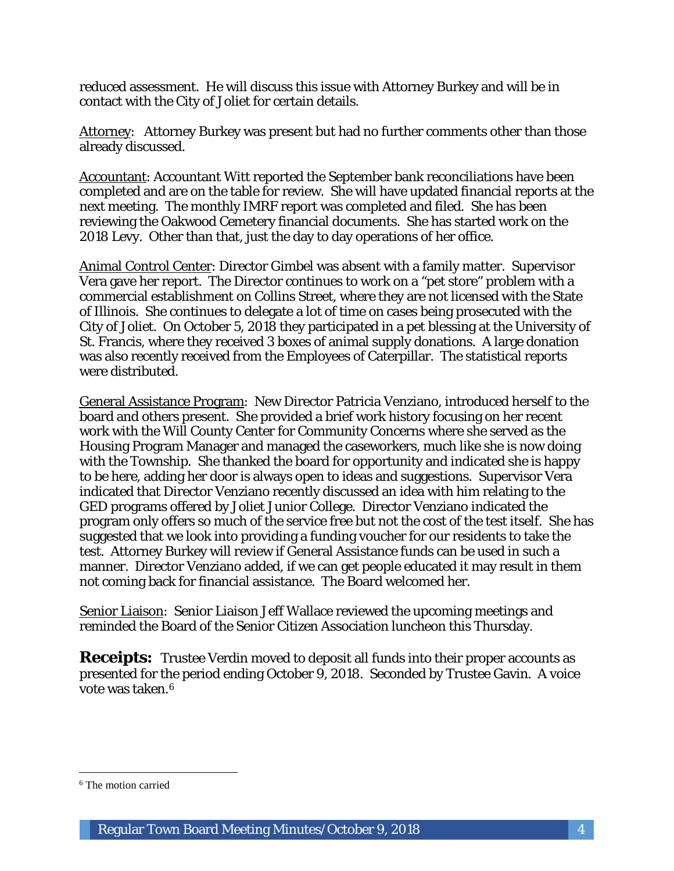reduced assessment. He will discuss this issue with Attorney Burkey and will be in contact with the City of Joliet for certain details.

Attorney: Attorney Burkey was present but had no further comments other than those already discussed.

Accountant: Accountant Witt reported the September bank reconciliations have been completed and are on the table for review. She will have updated financial reports at the next meeting. The monthly IMRF report was completed and filed. She has been reviewing the Oakwood Cemetery financial documents. She has started work on the 2018 Levy. Other than that, just the day to day operations of her office.

Animal Control Center: Director Gimbel was absent with a family matter. Supervisor Vera gave her report. The Director continues to work on a "pet store" problem with a commercial establishment on Collins Street, where they are not licensed with the State of Illinois. She continues to delegate a lot of time on cases being prosecuted with the City of Joliet. On October 5, 2018 they participated in a pet blessing at the University of St. Francis, where they received 3 boxes of animal supply donations. A large donation was also recently received from the Employees of Caterpillar. The statistical reports were distributed.

General Assistance Program: New Director Patricia Venziano, introduced herself to the board and others present. She provided a brief work history focusing on her recent work with the Will County Center for Community Concerns where she served as the Housing Program Manager and managed the caseworkers, much like she is now doing with the Township. She thanked the board for opportunity and indicated she is happy to be here, adding her door is always open to ideas and suggestions. Supervisor Vera indicated that Director Venziano recently discussed an idea with him relating to the GED programs offered by Joliet Junior College. Director Venziano indicated the program only offers so much of the service free but not the cost of the test itself. She has suggested that we look into providing a funding voucher for our residents to take the test. Attorney Burkey will review if General Assistance funds can be used in such a manner. Director Venziano added, if we can get people educated it may result in them not coming back for financial assistance. The Board welcomed her.

Senior Liaison: Senior Liaison Jeff Wallace reviewed the upcoming meetings and reminded the Board of the Senior Citizen Association luncheon this Thursday.

**Receipts:** Trustee Verdin moved to deposit all funds into their proper accounts as presented for the period ending October 9, 2018. Seconded by Trustee Gavin. A voice vote was taken.6

 $\overline{a}$ 

<sup>6</sup> The motion carried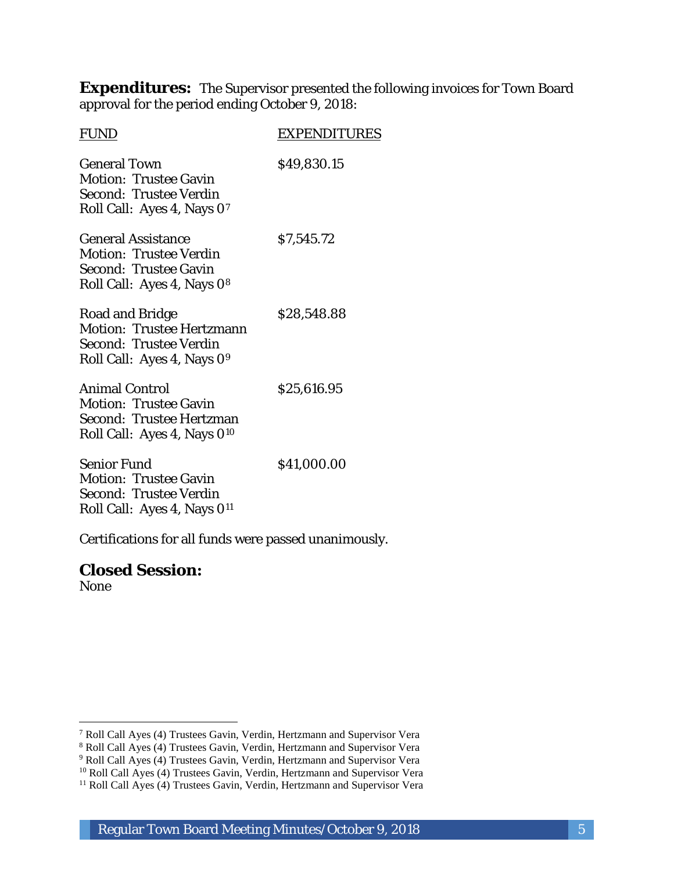**Expenditures:** The Supervisor presented the following invoices for Town Board approval for the period ending October 9, 2018:

| <b>FUND</b>                                                                                                                         | <b>EXPENDITURES</b> |
|-------------------------------------------------------------------------------------------------------------------------------------|---------------------|
| <b>General Town</b><br><b>Motion: Trustee Gavin</b><br>Second: Trustee Verdin<br>Roll Call: Ayes 4, Nays 07                         | \$49,830.15         |
| <b>General Assistance</b><br><b>Motion: Trustee Verdin</b><br><b>Second: Trustee Gavin</b><br>Roll Call: Ayes 4, Nays 08            | \$7,545.72          |
| Road and Bridge<br><b>Motion: Trustee Hertzmann</b><br><b>Second: Trustee Verdin</b><br>Roll Call: Ayes 4, Nays 09                  | \$28,548.88         |
| <b>Animal Control</b><br><b>Motion: Trustee Gavin</b><br><b>Second: Trustee Hertzman</b><br>Roll Call: Ayes 4, Nays 0 <sup>10</sup> | \$25,616.95         |
| <b>Senior Fund</b><br><b>Motion: Trustee Gavin</b><br>Second: Trustee Verdin<br>Roll Call: Ayes 4, Nays 0 <sup>11</sup>             | \$41,000.00         |

Certifications for all funds were passed unanimously.

**Closed Session:** None

I

<sup>7</sup> Roll Call Ayes (4) Trustees Gavin, Verdin, Hertzmann and Supervisor Vera

<sup>8</sup> Roll Call Ayes (4) Trustees Gavin, Verdin, Hertzmann and Supervisor Vera

<sup>&</sup>lt;sup>9</sup> Roll Call Ayes (4) Trustees Gavin, Verdin, Hertzmann and Supervisor Vera

<sup>&</sup>lt;sup>10</sup> Roll Call Ayes (4) Trustees Gavin, Verdin, Hertzmann and Supervisor Vera

<sup>&</sup>lt;sup>11</sup> Roll Call Ayes (4) Trustees Gavin, Verdin, Hertzmann and Supervisor Vera